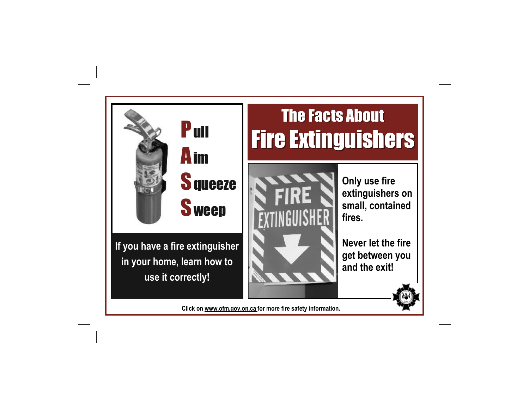

**If you have a fire extinguisher in your home, learn how to use it correctly!** 

## The Facts About **Fire Extinguishers**



**Only use fire extinguishers on small, contained fires.** 

**Never let the fire get between you and the exit!** 



**Click on www.ofm.gov.on.ca for more fire safety information.**